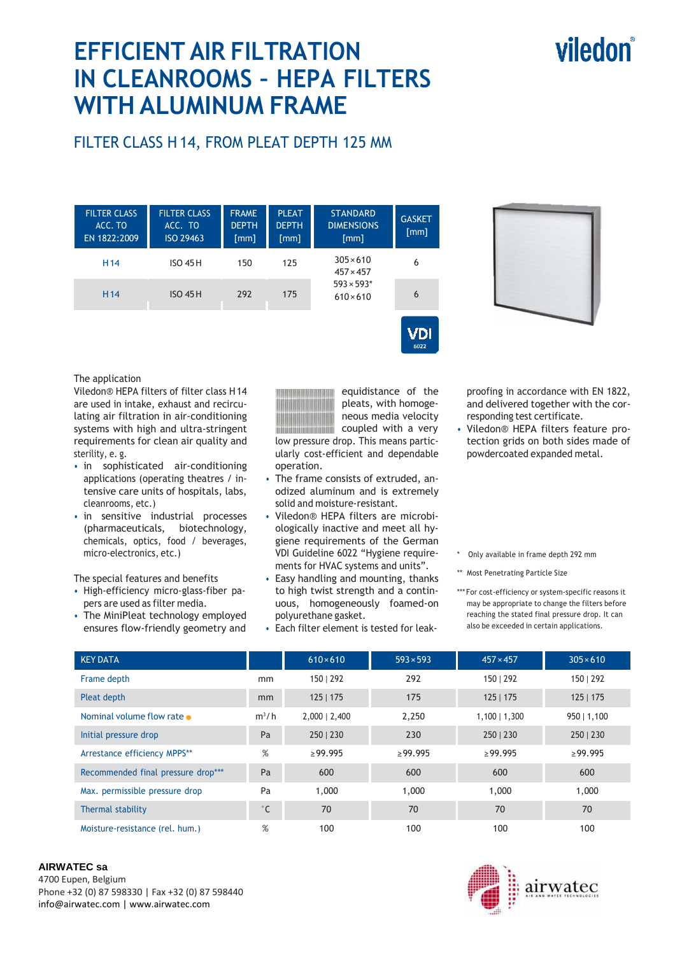# **EFFICIENT AIR FILTRATION IN CLEANROOMS – HEPA FILTERS WITH ALUMINUM FRAME**

# FILTER CLASS H 14, FROM PLEAT DEPTH 125 MM

| <b>FILTER CLASS</b><br>ACC. TO<br>EN 1822:2009 | <b>FILTER CLASS</b><br>ACC. TO<br>ISO 29463 | <b>FRAME</b><br><b>DEPTH</b><br>$\lceil mm \rceil$ | <b>PLEAT</b><br><b>DEPTH</b><br>[mm] | <b>STANDARD</b><br><b>DIMENSIONS</b><br>$\lceil mm \rceil$                    | <b>GASKET</b><br>[mm] |
|------------------------------------------------|---------------------------------------------|----------------------------------------------------|--------------------------------------|-------------------------------------------------------------------------------|-----------------------|
| H <sub>14</sub>                                | <b>ISO 45 H</b>                             | 150                                                | 125                                  | $305 \times 610$<br>$457 \times 457$<br>$593 \times 593*$<br>$610 \times 610$ | 6                     |
| H <sub>14</sub>                                | <b>ISO 45H</b>                              | 292                                                | 175                                  |                                                                               | 6                     |
|                                                |                                             |                                                    |                                      |                                                                               |                       |



## The application

Viledon® HEPA filters of filter class H 14 are used in intake, exhaust and recirculating air filtration in air-conditioning systems with high and ultra-stringent requirements for clean air quality and sterility, e. g.

- in sophisticated air-conditioning applications (operating theatres / intensive care units of hospitals, labs, cleanrooms, etc.)
- in sensitive industrial processes (pharmaceuticals, biotechnology, chemicals, optics, food / beverages, micro-electronics, etc.)

The special features and benefits

- High-efficiency micro-glass-fiber papers are used as filter media.
- The MiniPleat technology employed ensures flow-friendly geometry and



equidistance of the pleats, with homogeneous media velocity coupled with a very low pressure drop. This means partic-

ularly cost-efficient and dependable operation.

- The frame consists of extruded, anodized aluminum and is extremely solid and moisture-resistant.
- Viledon® HEPA filters are microbiologically inactive and meet all hygiene requirements of the German VDI Guideline 6022 "Hygiene requirements for HVAC systems and units".
- Easy handling and mounting, thanks to high twist strength and a continuous, homogeneously foamed-on polyurethane gasket.
- Each filter element is tested for leak-

proofing in accordance with EN 1822, and delivered together with the corresponding test certificate.

- Viledon® HEPA filters feature protection grids on both sides made of powdercoated expanded metal.
- \* Only available in frame depth 292 mm
- \*\* Most Penetrating Particle Size
- \*\*\* For cost-efficiency or system-specific reasons it may be appropriate to change the filters before reaching the stated final pressure drop. It can also be exceeded in certain applications.

| <b>KEY DATA</b>                    |              | $610\times610$  | $593 \times 593$ | $457 \times 457$ | $305 \times 610$ |
|------------------------------------|--------------|-----------------|------------------|------------------|------------------|
| Frame depth                        | mm           | 150   292       | 292              | 150   292        | 150   292        |
| Pleat depth                        | mm           | 125   175       | 175              | 125   175        | 125   175        |
| Nominal volume flow rate •         | $m^3/h$      | $2,000$   2,400 | 2.250            | $1,100$   1,300  | 950   1,100      |
| Initial pressure drop              | Pa           | 250   230       | 230              | 250   230        | 250   230        |
| Arrestance efficiency MPPS**       | %            | $\geq$ 99.995   | $\geq$ 99.995    | $\geq$ 99.995    | $\geq$ 99.995    |
| Recommended final pressure drop*** | Pa           | 600             | 600              | 600              | 600              |
| Max. permissible pressure drop     | Pa           | 1,000           | 1,000            | 1,000            | 1,000            |
| Thermal stability                  | $^{\circ}$ C | 70              | 70               | 70               | 70               |
| Moisture-resistance (rel. hum.)    | %            | 100             | 100              | 100              | 100              |

### **AIRWATEC sa**

4700 Eupen, Belgium Phone +32 (0) 87 598330 | Fax +32 (0) 87 598440 info@airwatec.com | www.airwatec.com



# viledon®